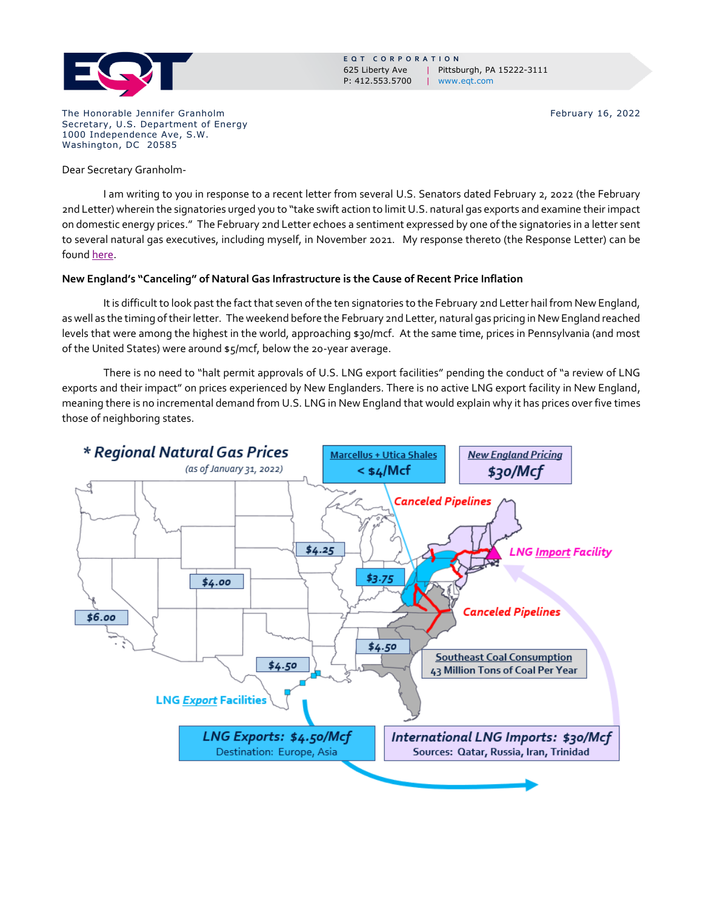

**E Q T C O R P O R A T I O N** 625 Liberty Ave | Pittsburgh, PA 15222-3111 P: 412.553.5700 | www.eqt.com

The Honorable Jennifer Granholm **February 16, 2022** Secretary, U.S. Department of Energy 1000 Independence Ave, S.W. Washington, DC 20585

Dear Secretary Granholm-

I am writing to you in response to a recent letter from several U.S. Senators dated February 2, 2022 (the February 2nd Letter) wherein the signatories urged you to "take swift action to limit U.S. natural gas exports and examine their impact on domestic energy prices." The February 2nd Letter echoes a sentiment expressed by one of the signatories in a letter sent to several natural gas executives, including myself, in November 2021. My response thereto (the Response Letter) can be foun[d here.](https://www.eqt.com/wp-content/uploads/2021/12/ResponseLetterSenWarren.pdf)

## **New England's "Canceling" of Natural Gas Infrastructure is the Cause of Recent Price Inflation**

It is difficult to look past the fact that seven of the ten signatories to the February 2nd Letter hail from New England, as well as the timing of their letter. The weekend before the February 2nd Letter, natural gas pricing in New England reached levels that were among the highest in the world, approaching \$30/mcf. At the same time, prices in Pennsylvania (and most of the United States) were around \$5/mcf, below the 20-year average.

There is no need to "halt permit approvals of U.S. LNG export facilities" pending the conduct of "a review of LNG exports and their impact" on prices experienced by New Englanders. There is no active LNG export facility in New England, meaning there is no incremental demand from U.S. LNG in New England that would explain why it has prices over five times those of neighboring states.

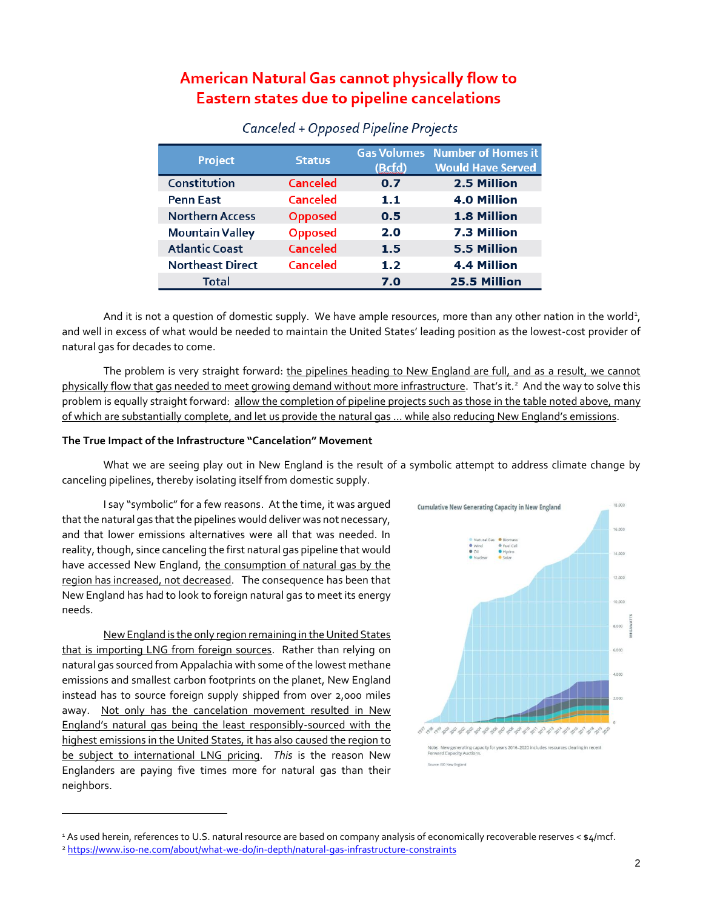# American Natural Gas cannot physically flow to Eastern states due to pipeline cancelations

| <b>Project</b>          | <b>Status</b>   | (Bcfd) | <b>Gas Volumes</b> Number of Homes it<br><b>Would Have Served</b> |
|-------------------------|-----------------|--------|-------------------------------------------------------------------|
| Constitution            | <b>Canceled</b> | 0.7    | 2.5 Million                                                       |
| <b>Penn East</b>        | <b>Canceled</b> | 1.1    | <b>4.0 Million</b>                                                |
| <b>Northern Access</b>  | <b>Opposed</b>  | 0.5    | 1.8 Million                                                       |
| <b>Mountain Valley</b>  | <b>Opposed</b>  | 2.0    | 7.3 Million                                                       |
| <b>Atlantic Coast</b>   | <b>Canceled</b> | 1.5    | <b>5.5 Million</b>                                                |
| <b>Northeast Direct</b> | <b>Canceled</b> | 1.2    | <b>4.4 Million</b>                                                |
| <b>Total</b>            |                 | 7.0    | 25.5 Million                                                      |

## Canceled + Opposed Pipeline Projects

And it is not a question of domestic supply. We have ample resources, more than any other nation in the world<sup>1</sup>, and well in excess of what would be needed to maintain the United States' leading position as the lowest-cost provider of natural gas for decades to come.

The problem is very straight forward: the pipelines heading to New England are full, and as a result, we cannot physically flow that gas needed to meet growing demand without more infrastructure. That's it.<sup>2</sup> And the way to solve this problem is equally straight forward: allow the completion of pipeline projects such as those in the table noted above, many of which are substantially complete, and let us provide the natural gas … while also reducing New England's emissions.

#### **The True Impact of the Infrastructure "Cancelation" Movement**

What we are seeing play out in New England is the result of a symbolic attempt to address climate change by canceling pipelines, thereby isolating itself from domestic supply.

I say "symbolic" for a few reasons. At the time, it was argued that the natural gas that the pipelines would deliver was not necessary, and that lower emissions alternatives were all that was needed. In reality, though, since canceling the first natural gas pipeline that would have accessed New England, the consumption of natural gas by the region has increased, not decreased. The consequence has been that New England has had to look to foreign natural gas to meet its energy needs.

New England is the only region remaining in the United States that is importing LNG from foreign sources. Rather than relying on natural gas sourced from Appalachia with some of the lowest methane emissions and smallest carbon footprints on the planet, New England instead has to source foreign supply shipped from over 2,000 miles away. Not only has the cancelation movement resulted in New England's natural gas being the least responsibly-sourced with the highest emissions in the United States, it has also caused the region to be subject to international LNG pricing. *This* is the reason New Englanders are paying five times more for natural gas than their neighbors.



<sup>&</sup>lt;sup>1</sup> As used herein, references to U.S. natural resource are based on company analysis of economically recoverable reserves < \$4/mcf. <sup>2</sup> <https://www.iso-ne.com/about/what-we-do/in-depth/natural-gas-infrastructure-constraints>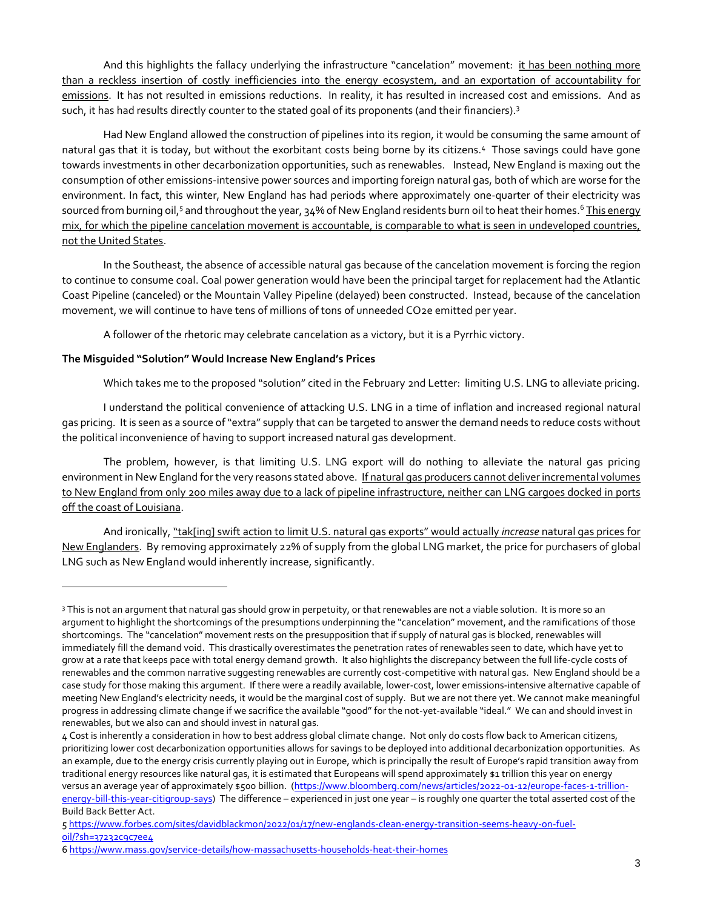And this highlights the fallacy underlying the infrastructure "cancelation" movement: it has been nothing more than a reckless insertion of costly inefficiencies into the energy ecosystem, and an exportation of accountability for emissions. It has not resulted in emissions reductions. In reality, it has resulted in increased cost and emissions. And as such, it has had results directly counter to the stated goal of its proponents (and their financiers).<sup>3</sup>

Had New England allowed the construction of pipelines into its region, it would be consuming the same amount of natural gas that it is today, but without the exorbitant costs being borne by its citizens. <sup>4</sup> Those savings could have gone towards investments in other decarbonization opportunities, such as renewables. Instead, New England is maxing out the consumption of other emissions-intensive power sources and importing foreign natural gas, both of which are worse for the environment. In fact, this winter, New England has had periods where approximately one-quarter of their electricity was sourced from burning oil,<sup>s</sup> and throughout the year, 34% of New England residents burn oil to heat their homes.<sup>6</sup> <u>This energy</u> mix, for which the pipeline cancelation movement is accountable, is comparable to what is seen in undeveloped countries, not the United States.

In the Southeast, the absence of accessible natural gas because of the cancelation movement is forcing the region to continue to consume coal. Coal power generation would have been the principal target for replacement had the Atlantic Coast Pipeline (canceled) or the Mountain Valley Pipeline (delayed) been constructed. Instead, because of the cancelation movement, we will continue to have tens of millions of tons of unneeded CO2e emitted per year.

A follower of the rhetoric may celebrate cancelation as a victory, but it is a Pyrrhic victory.

## **The Misguided "Solution" Would Increase New England's Prices**

Which takes me to the proposed "solution" cited in the February 2nd Letter: limiting U.S. LNG to alleviate pricing.

I understand the political convenience of attacking U.S. LNG in a time of inflation and increased regional natural gas pricing. It is seen as a source of "extra" supply that can be targeted to answer the demand needs to reduce costs without the political inconvenience of having to support increased natural gas development.

The problem, however, is that limiting U.S. LNG export will do nothing to alleviate the natural gas pricing environment in New England for the very reasons stated above. If natural gas producers cannot deliver incremental volumes to New England from only 200 miles away due to a lack of pipeline infrastructure, neither can LNG cargoes docked in ports off the coast of Louisiana.

And ironically, "tak[ing] swift action to limit U.S. natural gas exports" would actually *increase* natural gas prices for New Englanders. By removing approximately 22% of supply from the global LNG market, the price for purchasers of global LNG such as New England would inherently increase, significantly.

<sup>3</sup> This is not an argument that natural gas should grow in perpetuity, or that renewables are not a viable solution. It is more so an argument to highlight the shortcomings of the presumptions underpinning the "cancelation" movement, and the ramifications of those shortcomings. The "cancelation" movement rests on the presupposition that if supply of natural gas is blocked, renewables will immediately fill the demand void. This drastically overestimates the penetration rates of renewables seen to date, which have yet to grow at a rate that keeps pace with total energy demand growth. It also highlights the discrepancy between the full life-cycle costs of renewables and the common narrative suggesting renewables are currently cost-competitive with natural gas. New England should be a case study for those making this argument. If there were a readily available, lower-cost, lower emissions-intensive alternative capable of meeting New England's electricity needs, it would be the marginal cost of supply. But we are not there yet. We cannot make meaningful progress in addressing climate change if we sacrifice the available "good" for the not-yet-available "ideal." We can and should invest in renewables, but we also can and should invest in natural gas.

<sup>4</sup> Cost is inherently a consideration in how to best address global climate change. Not only do costs flow back to American citizens, prioritizing lower cost decarbonization opportunities allows for savings to be deployed into additional decarbonization opportunities. As an example, due to the energy crisis currently playing out in Europe, which is principally the result of Europe's rapid transition away from traditional energy resources like natural gas, it is estimated that Europeans will spend approximately \$1 trillion this year on energy versus an average year of approximately \$500 billion. [\(https://www.bloomberg.com/news/articles/2022-01-12/europe-faces-1-trillion](https://www.bloomberg.com/news/articles/2022-01-12/europe-faces-1-trillion-energy-bill-this-year-citigroup-says)[energy-bill-this-year-citigroup-says\)](https://www.bloomberg.com/news/articles/2022-01-12/europe-faces-1-trillion-energy-bill-this-year-citigroup-says) The difference – experienced in just one year – is roughly one quarter the total asserted cost of the Build Back Better Act.

<sup>5</sup> [https://www.forbes.com/sites/davidblackmon/2022/01/17/new-englands-clean-energy-transition-seems-heavy-on-fuel](https://www.forbes.com/sites/davidblackmon/2022/01/17/new-englands-clean-energy-transition-seems-heavy-on-fuel-oil/?sh=37232c9c7ee4)[oil/?sh=37232c9c7ee4](https://www.forbes.com/sites/davidblackmon/2022/01/17/new-englands-clean-energy-transition-seems-heavy-on-fuel-oil/?sh=37232c9c7ee4)

<sup>6</sup> <https://www.mass.gov/service-details/how-massachusetts-households-heat-their-homes>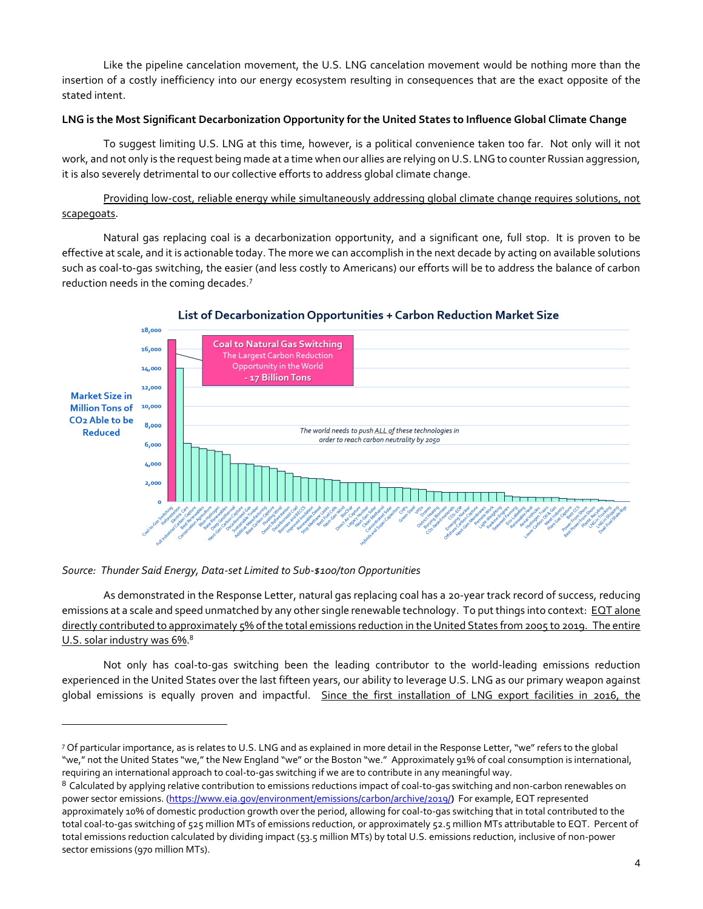Like the pipeline cancelation movement, the U.S. LNG cancelation movement would be nothing more than the insertion of a costly inefficiency into our energy ecosystem resulting in consequences that are the exact opposite of the stated intent.

## **LNG is the Most Significant Decarbonization Opportunity for the United States to Influence Global Climate Change**

To suggest limiting U.S. LNG at this time, however, is a political convenience taken too far. Not only will it not work, and not only is the request being made at a time when our allies are relying on U.S. LNG to counter Russian aggression, it is also severely detrimental to our collective efforts to address global climate change.

Providing low-cost, reliable energy while simultaneously addressing global climate change requires solutions, not scapegoats.

Natural gas replacing coal is a decarbonization opportunity, and a significant one, full stop. It is proven to be effective at scale, and it is actionable today. The more we can accomplish in the next decade by acting on available solutions such as coal-to-gas switching, the easier (and less costly to Americans) our efforts will be to address the balance of carbon reduction needs in the coming decades.<sup>7</sup>



## List of Decarbonization Opportunities + Carbon Reduction Market Size

#### *Source: Thunder Said Energy, Data-set Limited to Sub-\$100/ton Opportunities*

As demonstrated in the Response Letter, natural gas replacing coal has a 20-year track record of success, reducing emissions at a scale and speed unmatched by any other single renewable technology. To put things into context: EQT alone directly contributed to approximately 5% of the total emissions reduction in the United States from 2005 to 2019. The entire U.S. solar industry was 6%.<sup>8</sup>

Not only has coal-to-gas switching been the leading contributor to the world-leading emissions reduction experienced in the United States over the last fifteen years, our ability to leverage U.S. LNG as our primary weapon against global emissions is equally proven and impactful. Since the first installation of LNG export facilities in 2016, the

<sup>7</sup> Of particular importance, as is relates to U.S. LNG and as explained in more detail in the Response Letter, "we" refers to the global "we," not the United States "we," the New England "we" or the Boston "we." Approximately 91% of coal consumption is international, requiring an international approach to coal-to-gas switching if we are to contribute in any meaningful way.

<sup>&</sup>lt;sup>8</sup> Calculated by applying relative contribution to emissions reductions impact of coal-to-gas switching and non-carbon renewables on power sector emissions. [\(https://www.eia.gov/environment/emissions/carbon/archive/2019/](https://www.eia.gov/environment/emissions/carbon/archive/2019/)**)** For example, EQT represented approximately 10% of domestic production growth over the period, allowing for coal-to-gas switching that in total contributed to the total coal-to-gas switching of 525 million MTs of emissions reduction, or approximately 52.5 million MTs attributable to EQT. Percent of total emissions reduction calculated by dividing impact (53.5 million MTs) by total U.S. emissions reduction, inclusive of non-power sector emissions (970 million MTs).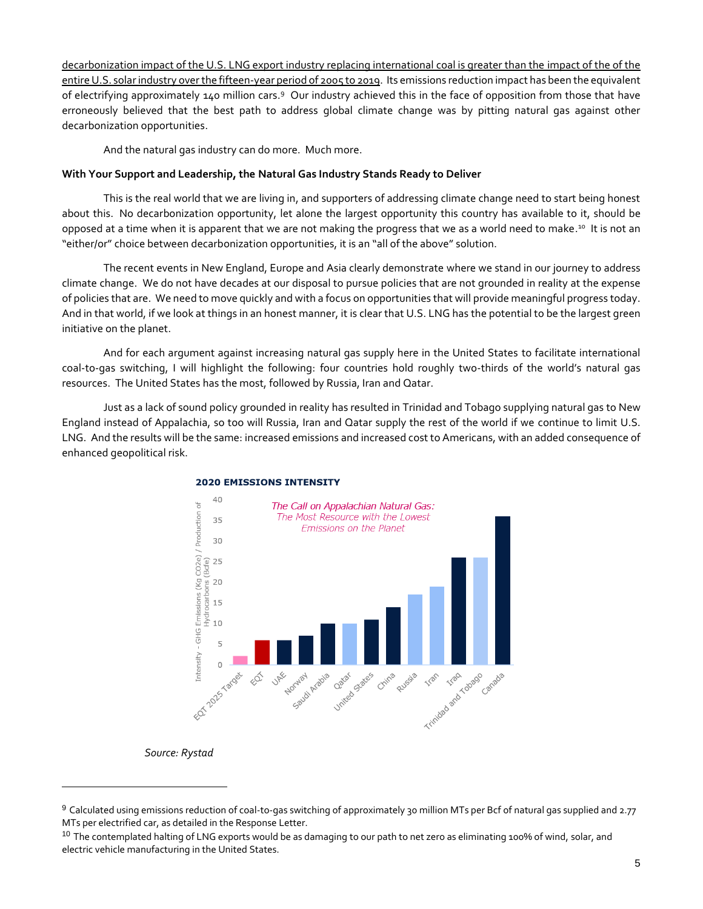decarbonization impact of the U.S. LNG export industry replacing international coal is greater than the impact of the of the entire U.S. solar industry over the fifteen-year period of 2005 to 2019. Its emissions reduction impact has been the equivalent of electrifying approximately 140 million cars.<sup>9</sup> Our industry achieved this in the face of opposition from those that have erroneously believed that the best path to address global climate change was by pitting natural gas against other decarbonization opportunities.

And the natural gas industry can do more. Much more.

#### **With Your Support and Leadership, the Natural Gas Industry Stands Ready to Deliver**

This is the real world that we are living in, and supporters of addressing climate change need to start being honest about this. No decarbonization opportunity, let alone the largest opportunity this country has available to it, should be opposed at a time when it is apparent that we are not making the progress that we as a world need to make.<sup>10</sup> It is not an "either/or" choice between decarbonization opportunities, it is an "all of the above" solution.

The recent events in New England, Europe and Asia clearly demonstrate where we stand in our journey to address climate change. We do not have decades at our disposal to pursue policies that are not grounded in reality at the expense of policies that are. We need to move quickly and with a focus on opportunities that will provide meaningful progress today. And in that world, if we look at things in an honest manner, it is clear that U.S. LNG has the potential to be the largest green initiative on the planet.

And for each argument against increasing natural gas supply here in the United States to facilitate international coal-to-gas switching, I will highlight the following: four countries hold roughly two-thirds of the world's natural gas resources. The United States has the most, followed by Russia, Iran and Qatar.

Just as a lack of sound policy grounded in reality has resulted in Trinidad and Tobago supplying natural gas to New England instead of Appalachia, so too will Russia, Iran and Qatar supply the rest of the world if we continue to limit U.S. LNG. And the results will be the same: increased emissions and increased cost to Americans, with an added consequence of enhanced geopolitical risk.



#### **2020 EMISSIONS INTENSITY**

*Source: Rystad*

<sup>9</sup> Calculated using emissions reduction of coal-to-gas switching of approximately 30 million MTs per Bcf of natural gas supplied and 2.77 MTs per electrified car, as detailed in the Response Letter.

<sup>&</sup>lt;sup>10</sup> The contemplated halting of LNG exports would be as damaging to our path to net zero as eliminating 100% of wind, solar, and electric vehicle manufacturing in the United States.